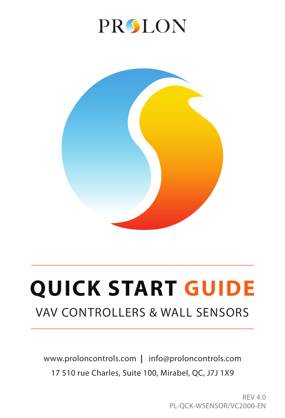# **PRSLON**



# **QUICK START GUIDE** VAV CONTROLLERS & WALL SENSORS

www.proloncontrols.com **|** info@proloncontrols.com 17 510 rue Charles, Suite 100, Mirabel, QC, J7J 1X9

> REV 4.0 PL-QCK-WSENSOR/VC2000-EN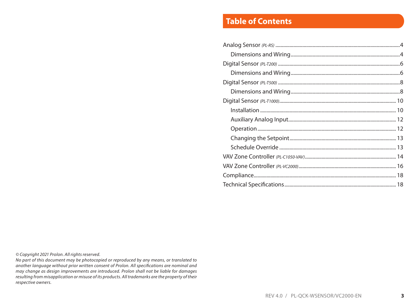# **Table of Contents**

*© Copyright 2021 Prolon. All rights reserved.*

*No part of this document may be photocopied or reproduced by any means, or translated to another language without prior written consent of Prolon. All specifications are nominal and may change as design improvements are introduced. Prolon shall not be liable for damages resulting from misapplication or misuse of its products. All trademarks are the property of their respective owners.*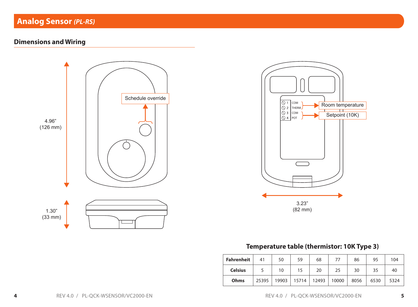# **Analog Sensor** *(PL-RS)*

## **Dimensions and Wiring**





## **Temperature table (thermistor: 10K Type 3)**

| Fahrenheit     | 41    | 50    | 59    | 68    | 77    | 86   | 95   | 104  |
|----------------|-------|-------|-------|-------|-------|------|------|------|
| <b>Celsius</b> |       | 10    | 15    | 20    | 25    | 30   | 35   | 40   |
| Ohms           | 25395 | 19903 | 15714 | 12493 | 10000 | 8056 | 6530 | 5324 |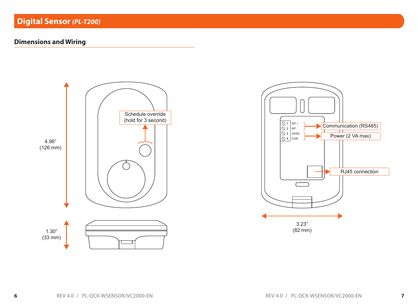## **Dimensions and Wiring**



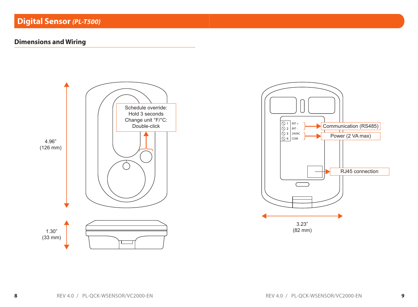## **Dimensions and Wiring**



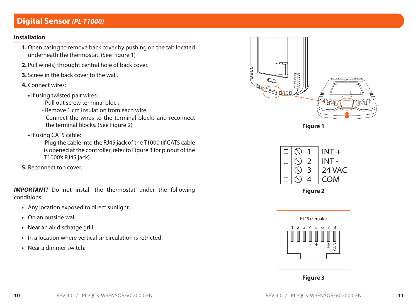# **Digital Sensor** *(PL-T1000)*

## **Installation**

- **1.** Open casing to remove back cover by pushing on the tab located underneath the thermostat. (See Figure 1)
- **2.** Pull wire(s) throught central hole of back cover.
- **3.** Screw in the back cover to the wall.
- **4.** Connect wires:
	- If using twisted pair wires:
		- Pull out screw terminal block.
		- Remove 1 cm insulation from each wire.
		- Connect the wires to the terminal blocks and reconnect the terminal blocks. (See Figure 2)
	- **•** If using CAT5 cable:
		- Plug the cable into the RJ45 jack of the T1000 (if CAT5 cable is opened at the controller, refer to Figure 3 for pinout of the T1000's RJ45 jack).

**5.** Reconnect top cover.

**IMPORTANT!** Do not install the thermostat under the following conditions:

- **•** Any location exposed to direct sunlight.
- **•** On an outside wall.
- **•** Near an air dischatge grill.
- **•** In a location where vertical sir circulation is retricted.
- **•** Near a dimmer switch.



**Figure 1**





**Figure 3**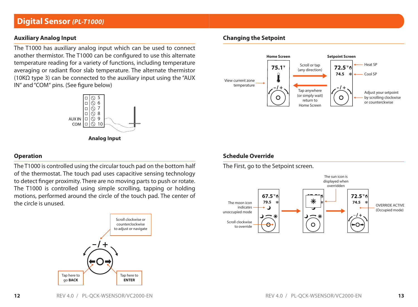## **Digital Sensor** *(PL-T1000)*

## **Auxiliary Analog Input**

The T1000 has auxiliary analog input which can be used to connect another thermistor. The T1000 can be configured to use this alternate temperature reading for a variety of functions, including temperature averaging or radiant floor slab temperature. The alternate thermistor (10K $\Omega$  type 3) can be connected to the auxiliary input using the "AUX IN" and "COM" pins. (See figure below)



**Analog Input**

#### **Operation**

The T1000 is controlled using the circular touch pad on the bottom half of the thermostat. The touch pad uses capacitive sensing technology to detect finger proximity. There are no moving parts to push or rotate. The T1000 is controlled using simple scrolling, tapping or holding motions, performed around the circle of the touch pad. The center of the circle is unused.



### **Changing the Setpoint**



#### **Schedule Override**

The First, go to the Setpoint screen.

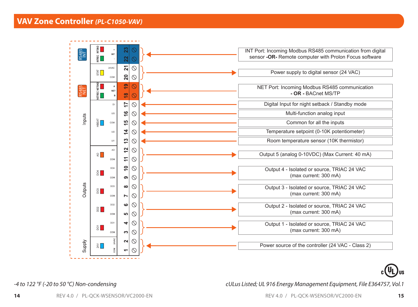



*-4 to 122 °F (-20 to 50 °C) Non-condensing*

*cULus Listed; UL 916 Energy Management Equipment, File E364757, Vol.1*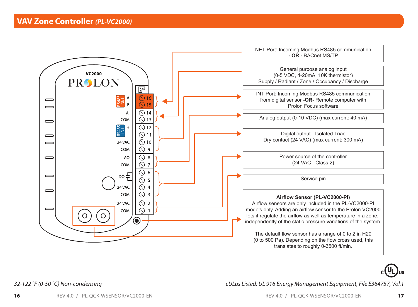



*32-122 °F (0-50 °C) Non-condensing*

*cULus Listed; UL 916 Energy Management Equipment, File E364757, Vol.1*